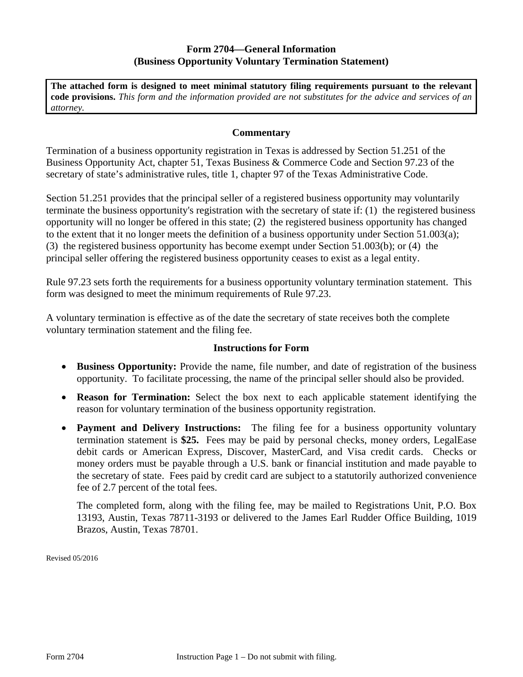### **Form 2704—General Information (Business Opportunity Voluntary Termination Statement)**

**The attached form is designed to meet minimal statutory filing requirements pursuant to the relevant code provisions.** *This form and the information provided are not substitutes for the advice and services of an attorney.* 

#### **Commentary**

Termination of a business opportunity registration in Texas is addressed by Section 51.251 of the Business Opportunity Act, chapter 51, Texas Business & Commerce Code and Section 97.23 of the secretary of state's administrative rules, title 1, chapter 97 of the Texas Administrative Code.

Section 51.251 provides that the principal seller of a registered business opportunity may voluntarily terminate the business opportunity's registration with the secretary of state if: (1) the registered business opportunity will no longer be offered in this state; (2) the registered business opportunity has changed to the extent that it no longer meets the definition of a business opportunity under Section 51.003(a); (3) the registered business opportunity has become exempt under Section 51.003(b); or (4) the principal seller offering the registered business opportunity ceases to exist as a legal entity.

Rule 97.23 sets forth the requirements for a business opportunity voluntary termination statement. This form was designed to meet the minimum requirements of Rule 97.23.

A voluntary termination is effective as of the date the secretary of state receives both the complete voluntary termination statement and the filing fee.

#### **Instructions for Form**

- Business Opportunity: Provide the name, file number, and date of registration of the business opportunity. To facilitate processing, the name of the principal seller should also be provided.
- **Reason for Termination:** Select the box next to each applicable statement identifying the reason for voluntary termination of the business opportunity registration.
- **Payment and Delivery Instructions:** The filing fee for a business opportunity voluntary termination statement is **\$25.** Fees may be paid by personal checks, money orders, LegalEase debit cards or American Express, Discover, MasterCard, and Visa credit cards. Checks or money orders must be payable through a U.S. bank or financial institution and made payable to the secretary of state. Fees paid by credit card are subject to a statutorily authorized convenience fee of 2.7 percent of the total fees.

The completed form, along with the filing fee, may be mailed to Registrations Unit, P.O. Box 13193, Austin, Texas 78711-3193 or delivered to the James Earl Rudder Office Building, 1019 Brazos, Austin, Texas 78701.

Revised 05/2016